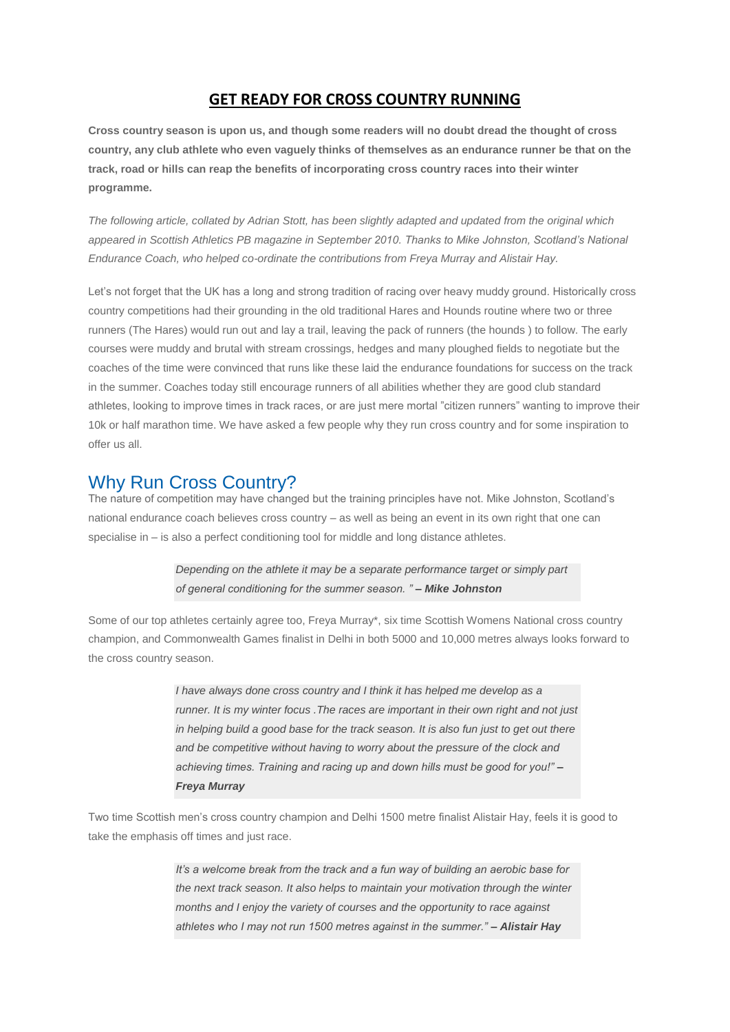## **GET READY FOR CROSS COUNTRY RUNNING**

**Cross country season is upon us, and though some readers will no doubt dread the thought of cross country, any club athlete who even vaguely thinks of themselves as an endurance runner be that on the track, road or hills can reap the benefits of incorporating cross country races into their winter programme.**

*The following article, collated by Adrian Stott, has been slightly adapted and updated from the original which appeared in Scottish Athletics PB magazine in September 2010. Thanks to Mike Johnston, Scotland's National Endurance Coach, who helped co-ordinate the contributions from Freya Murray and Alistair Hay.*

Let's not forget that the UK has a long and strong tradition of racing over heavy muddy ground. Historically cross country competitions had their grounding in the old traditional Hares and Hounds routine where two or three runners (The Hares) would run out and lay a trail, leaving the pack of runners (the hounds ) to follow. The early courses were muddy and brutal with stream crossings, hedges and many ploughed fields to negotiate but the coaches of the time were convinced that runs like these laid the endurance foundations for success on the track in the summer. Coaches today still encourage runners of all abilities whether they are good club standard athletes, looking to improve times in track races, or are just mere mortal "citizen runners" wanting to improve their 10k or half marathon time. We have asked a few people why they run cross country and for some inspiration to offer us all.

# Why Run Cross Country?

The nature of competition may have changed but the training principles have not. Mike Johnston, Scotland's national endurance coach believes cross country – as well as being an event in its own right that one can specialise in – is also a perfect conditioning tool for middle and long distance athletes.

### *Depending on the athlete it may be a separate performance target or simply part of general conditioning for the summer season. " – Mike Johnston*

Some of our top athletes certainly agree too, Freya Murray\*, six time Scottish Womens National cross country champion, and Commonwealth Games finalist in Delhi in both 5000 and 10,000 metres always looks forward to the cross country season.

> *I have always done cross country and I think it has helped me develop as a runner. It is my winter focus .The races are important in their own right and not just in helping build a good base for the track season. It is also fun just to get out there and be competitive without having to worry about the pressure of the clock and achieving times. Training and racing up and down hills must be good for you!" – Freya Murray*

Two time Scottish men's cross country champion and Delhi 1500 metre finalist Alistair Hay, feels it is good to take the emphasis off times and just race.

> *It's a welcome break from the track and a fun way of building an aerobic base for the next track season. It also helps to maintain your motivation through the winter months and I enjoy the variety of courses and the opportunity to race against athletes who I may not run 1500 metres against in the summer." – Alistair Hay*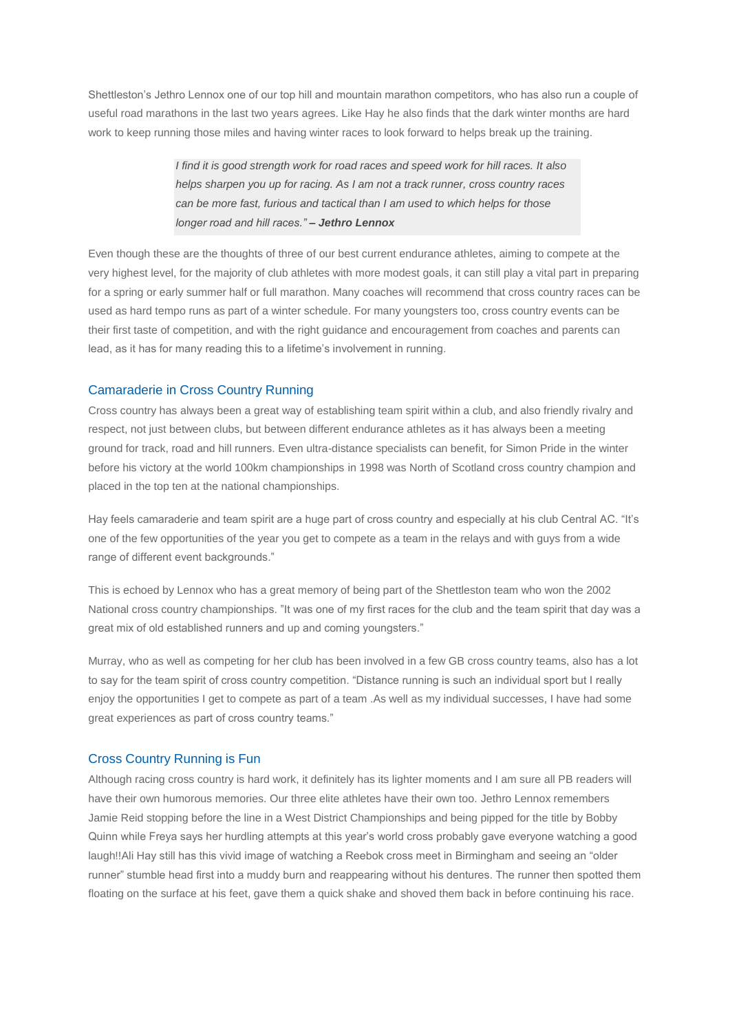Shettleston's Jethro Lennox one of our top hill and mountain marathon competitors, who has also run a couple of useful road marathons in the last two years agrees. Like Hay he also finds that the dark winter months are hard work to keep running those miles and having winter races to look forward to helps break up the training.

> *I find it is good strength work for road races and speed work for hill races. It also helps sharpen you up for racing. As I am not a track runner, cross country races can be more fast, furious and tactical than I am used to which helps for those longer road and hill races." – Jethro Lennox*

Even though these are the thoughts of three of our best current endurance athletes, aiming to compete at the very highest level, for the majority of club athletes with more modest goals, it can still play a vital part in preparing for a spring or early summer half or full marathon. Many coaches will recommend that cross country races can be used as hard tempo runs as part of a winter schedule. For many youngsters too, cross country events can be their first taste of competition, and with the right guidance and encouragement from coaches and parents can lead, as it has for many reading this to a lifetime's involvement in running.

### Camaraderie in Cross Country Running

Cross country has always been a great way of establishing team spirit within a club, and also friendly rivalry and respect, not just between clubs, but between different endurance athletes as it has always been a meeting ground for track, road and hill runners. Even ultra-distance specialists can benefit, for Simon Pride in the winter before his victory at the world 100km championships in 1998 was North of Scotland cross country champion and placed in the top ten at the national championships.

Hay feels camaraderie and team spirit are a huge part of cross country and especially at his club Central AC. "It's one of the few opportunities of the year you get to compete as a team in the relays and with guys from a wide range of different event backgrounds."

This is echoed by Lennox who has a great memory of being part of the Shettleston team who won the 2002 National cross country championships. "It was one of my first races for the club and the team spirit that day was a great mix of old established runners and up and coming youngsters."

Murray, who as well as competing for her club has been involved in a few GB cross country teams, also has a lot to say for the team spirit of cross country competition. "Distance running is such an individual sport but I really enjoy the opportunities I get to compete as part of a team .As well as my individual successes, I have had some great experiences as part of cross country teams."

#### Cross Country Running is Fun

Although racing cross country is hard work, it definitely has its lighter moments and I am sure all PB readers will have their own humorous memories. Our three elite athletes have their own too. Jethro Lennox remembers Jamie Reid stopping before the line in a West District Championships and being pipped for the title by Bobby Quinn while Freya says her hurdling attempts at this year's world cross probably gave everyone watching a good laugh!!Ali Hay still has this vivid image of watching a Reebok cross meet in Birmingham and seeing an "older runner" stumble head first into a muddy burn and reappearing without his dentures. The runner then spotted them floating on the surface at his feet, gave them a quick shake and shoved them back in before continuing his race.